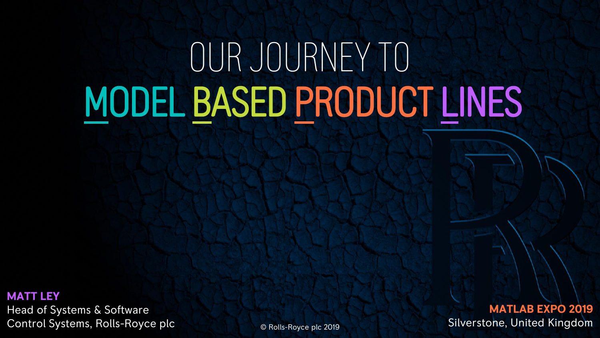# OUR JOURNEY TO MODEL BASED PRODUCT LINES

**MATT LEY** Head of Systems & Software Control Systems, Rolls-Royce plc

© Rolls-Royce plc 2019

**MATLAB EXPO 2019** Silverstone, United Kingdom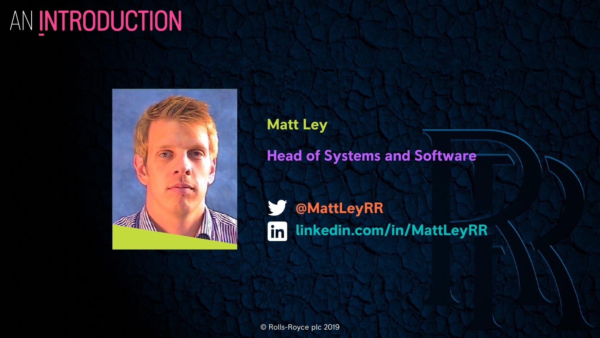# AN INTRODUCTION



**Matt Ley**

**Head of Systems and Software**

V **@MattLeyRR linkedin.com/in/MattLeyRR** $\left| \text{in} \right|$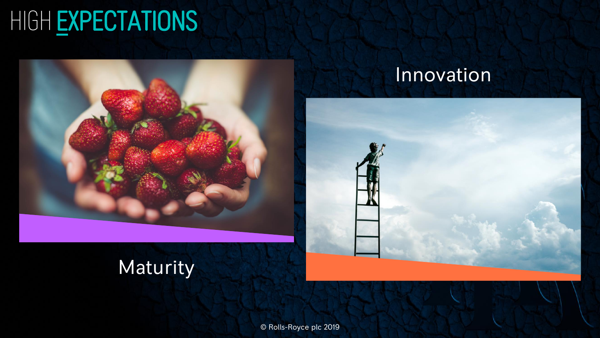# HIGH EXPECTATIONS



### **Innovation**



### **Maturity**

© Rolls-Royce plc 2019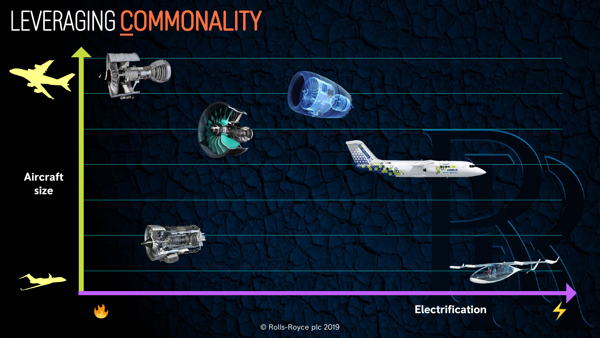# LEVERAGING COMMONALITY

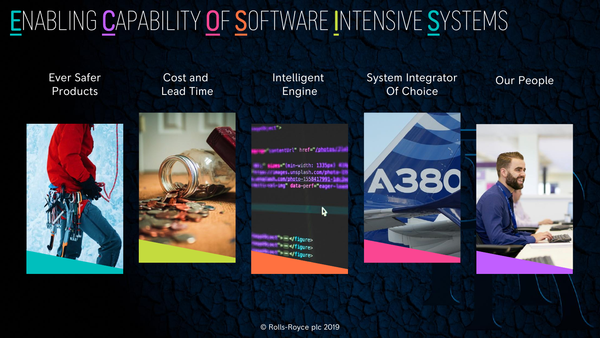# ENABLING CAPABILITY OF SOFTWARE INTENSIVE SYSTEMS

Ever Safer Products

Cost and Lead Time Intelligent Engine

System Integrator Of Choice

Our People





wtentUrl" href="/photos. I w

**Ami="(min-width: 1335px) Willy bes.unsplash.com/chastic 20** um/photo-1558417991-1m mg" data-perf="eager="

r,

**Sem </figure>** \* \* \*/figure> **Same/figure>** 

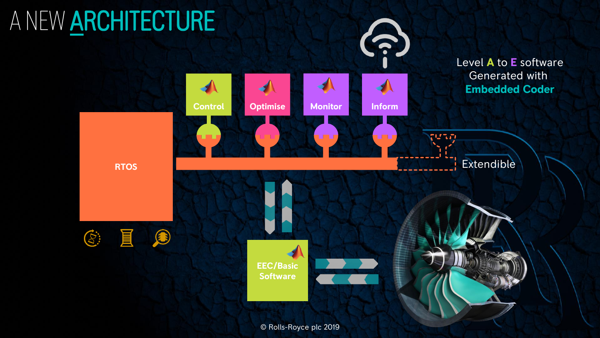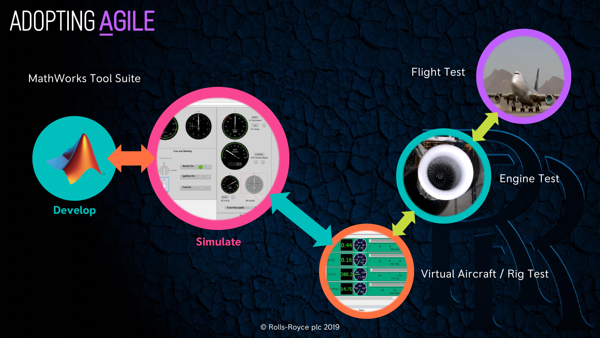# ADOPTING AGILE

MathWorks Tool Suite

**Develop**

Fuel On

**Fuel and Starting** 

Starter On

**Simulate**

13.80000...<br>Actual (DegC)

Flight Test

#### Virtual Aircraft / Rig Test

Engine Test

© Rolls-Royce plc 2019

 $0.44\sqrt{\frac{40.00}{3}}$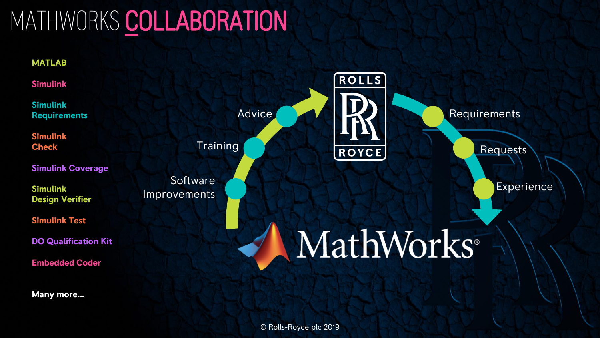## MATHWORKS COLLABORATION

#### **MATLAB**

**Simulink**

**Simulink Requirements**

**Simulink Check**

**Simulink Coverage**

**Simulink Design Verifier**

**Simulink Test**

**DO Qualification Kit**

**Embedded Coder**

**Many more…**

**Training** 

**Software** Improvements



Requests

Experience

# MathWorks®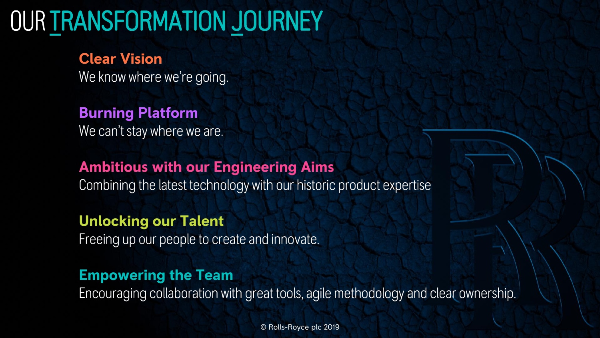## OUR TRANSFORMATION JOURNEY

### **Clear Vision**

We know where we're going.

### **Burning Platform**

We can't stay where we are.

### **Ambitious with our Engineering Aims**

Combining the latest technology with our historic product expertise

### **Unlocking our Talent**

Freeing up our people to create and innovate.

### **Empowering the Team**

Encouraging collaboration with great tools, agile methodology and clear ownership.